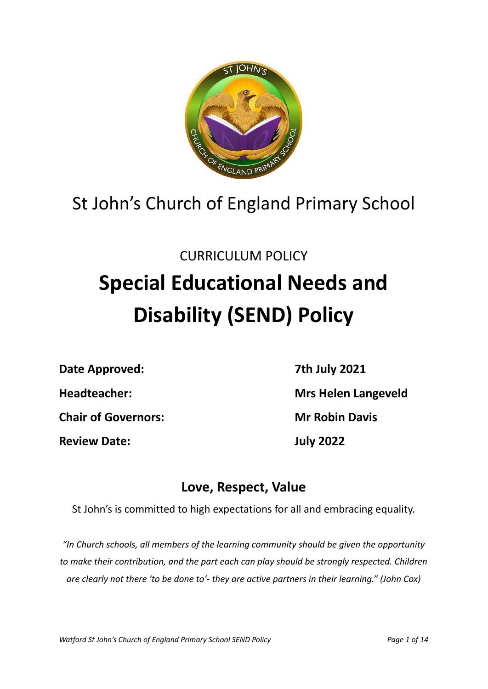

## St John's Church of England Primary School

## CURRICULUM POLICY

# **Special Educational Needs and Disability (SEND) Policy**

**Date Approved: 7th July 2021**

**Review Date: July 2022**

**Headteacher: Mrs Helen Langeveld Chair of Governors: Mr Robin Davis**

### **Love, Respect, Value**

St John's is committed to high expectations for all and embracing equality.

*"In Church schools, all members of the learning community should be given the opportunity to make their contribution, and the part each can play should be strongly respected. Children are clearly not there 'to be done to'- they are active partners in their learning." (John Cox)*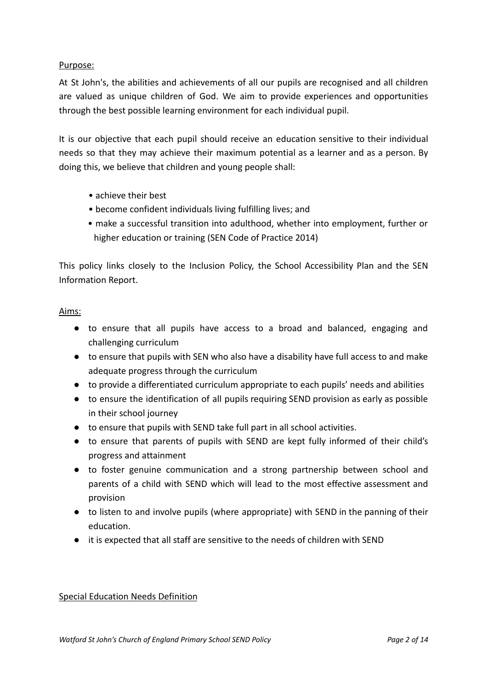#### Purpose:

At St John's, the abilities and achievements of all our pupils are recognised and all children are valued as unique children of God. We aim to provide experiences and opportunities through the best possible learning environment for each individual pupil.

It is our objective that each pupil should receive an education sensitive to their individual needs so that they may achieve their maximum potential as a learner and as a person. By doing this, we believe that children and young people shall:

- achieve their best
- become confident individuals living fulfilling lives; and
- make a successful transition into adulthood, whether into employment, further or higher education or training (SEN Code of Practice 2014)

This policy links closely to the Inclusion Policy, the School Accessibility Plan and the SEN Information Report.

#### Aims:

- to ensure that all pupils have access to a broad and balanced, engaging and challenging curriculum
- to ensure that pupils with SEN who also have a disability have full access to and make adequate progress through the curriculum
- to provide a differentiated curriculum appropriate to each pupils' needs and abilities
- to ensure the identification of all pupils requiring SEND provision as early as possible in their school journey
- to ensure that pupils with SEND take full part in all school activities.
- to ensure that parents of pupils with SEND are kept fully informed of their child's progress and attainment
- to foster genuine communication and a strong partnership between school and parents of a child with SEND which will lead to the most effective assessment and provision
- to listen to and involve pupils (where appropriate) with SEND in the panning of their education.
- it is expected that all staff are sensitive to the needs of children with SEND

#### Special Education Needs Definition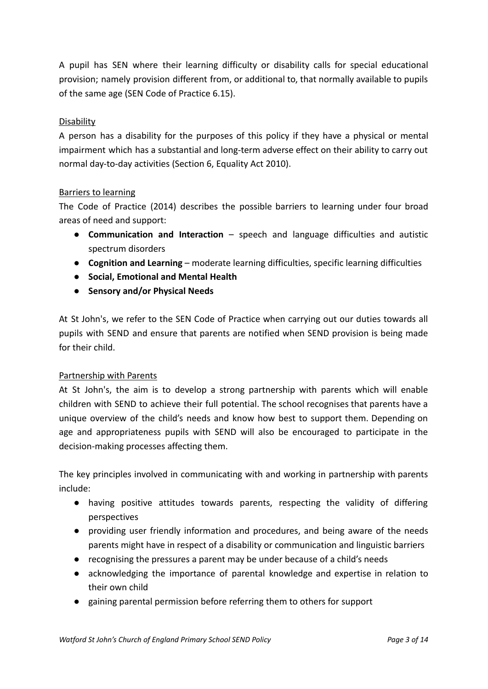A pupil has SEN where their learning difficulty or disability calls for special educational provision; namely provision different from, or additional to, that normally available to pupils of the same age (SEN Code of Practice 6.15).

#### **Disability**

A person has a disability for the purposes of this policy if they have a physical or mental impairment which has a substantial and long-term adverse effect on their ability to carry out normal day-to-day activities (Section 6, Equality Act 2010).

#### Barriers to learning

The Code of Practice (2014) describes the possible barriers to learning under four broad areas of need and support:

- **Communication and Interaction** speech and language difficulties and autistic spectrum disorders
- **Cognition and Learning** moderate learning difficulties, specific learning difficulties
- **Social, Emotional and Mental Health**
- **Sensory and/or Physical Needs**

At St John's, we refer to the SEN Code of Practice when carrying out our duties towards all pupils with SEND and ensure that parents are notified when SEND provision is being made for their child.

#### Partnership with Parents

At St John's, the aim is to develop a strong partnership with parents which will enable children with SEND to achieve their full potential. The school recognises that parents have a unique overview of the child's needs and know how best to support them. Depending on age and appropriateness pupils with SEND will also be encouraged to participate in the decision-making processes affecting them.

The key principles involved in communicating with and working in partnership with parents include:

- having positive attitudes towards parents, respecting the validity of differing perspectives
- providing user friendly information and procedures, and being aware of the needs parents might have in respect of a disability or communication and linguistic barriers
- recognising the pressures a parent may be under because of a child's needs
- acknowledging the importance of parental knowledge and expertise in relation to their own child
- gaining parental permission before referring them to others for support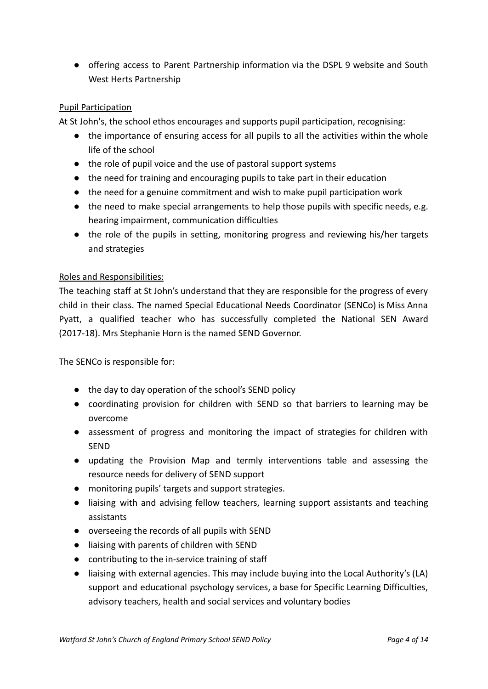● offering access to Parent Partnership information via the DSPL 9 website and South West Herts Partnership

#### Pupil Participation

At St John's, the school ethos encourages and supports pupil participation, recognising:

- the importance of ensuring access for all pupils to all the activities within the whole life of the school
- the role of pupil voice and the use of pastoral support systems
- the need for training and encouraging pupils to take part in their education
- the need for a genuine commitment and wish to make pupil participation work
- the need to make special arrangements to help those pupils with specific needs, e.g. hearing impairment, communication difficulties
- the role of the pupils in setting, monitoring progress and reviewing his/her targets and strategies

#### Roles and Responsibilities:

The teaching staff at St John's understand that they are responsible for the progress of every child in their class. The named Special Educational Needs Coordinator (SENCo) is Miss Anna Pyatt, a qualified teacher who has successfully completed the National SEN Award (2017-18). Mrs Stephanie Horn is the named SEND Governor.

The SENCo is responsible for:

- the day to day operation of the school's SEND policy
- coordinating provision for children with SEND so that barriers to learning may be overcome
- assessment of progress and monitoring the impact of strategies for children with SEND
- updating the Provision Map and termly interventions table and assessing the resource needs for delivery of SEND support
- monitoring pupils' targets and support strategies.
- liaising with and advising fellow teachers, learning support assistants and teaching assistants
- overseeing the records of all pupils with SEND
- liaising with parents of children with SEND
- contributing to the in-service training of staff
- liaising with external agencies. This may include buying into the Local Authority's (LA) support and educational psychology services, a base for Specific Learning Difficulties, advisory teachers, health and social services and voluntary bodies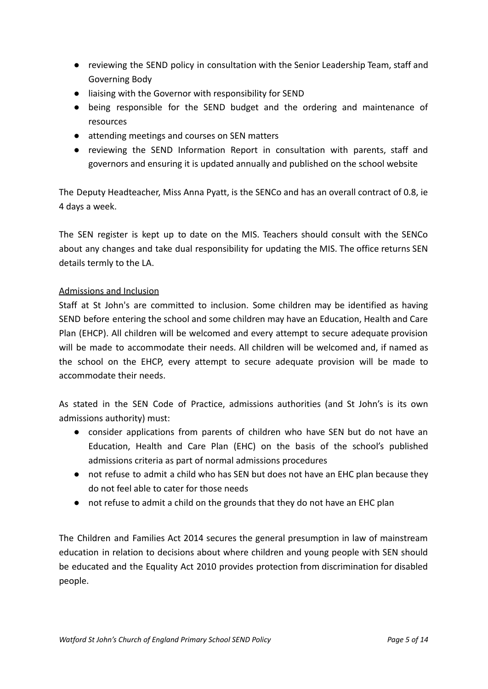- reviewing the SEND policy in consultation with the Senior Leadership Team, staff and Governing Body
- liaising with the Governor with responsibility for SEND
- being responsible for the SEND budget and the ordering and maintenance of resources
- attending meetings and courses on SEN matters
- reviewing the SEND Information Report in consultation with parents, staff and governors and ensuring it is updated annually and published on the school website

The Deputy Headteacher, Miss Anna Pyatt, is the SENCo and has an overall contract of 0.8, ie 4 days a week.

The SEN register is kept up to date on the MIS. Teachers should consult with the SENCo about any changes and take dual responsibility for updating the MIS. The office returns SEN details termly to the LA.

#### Admissions and Inclusion

Staff at St John's are committed to inclusion. Some children may be identified as having SEND before entering the school and some children may have an Education, Health and Care Plan (EHCP). All children will be welcomed and every attempt to secure adequate provision will be made to accommodate their needs. All children will be welcomed and, if named as the school on the EHCP, every attempt to secure adequate provision will be made to accommodate their needs.

As stated in the SEN Code of Practice, admissions authorities (and St John's is its own admissions authority) must:

- consider applications from parents of children who have SEN but do not have an Education, Health and Care Plan (EHC) on the basis of the school's published admissions criteria as part of normal admissions procedures
- not refuse to admit a child who has SEN but does not have an EHC plan because they do not feel able to cater for those needs
- not refuse to admit a child on the grounds that they do not have an EHC plan

The Children and Families Act 2014 secures the general presumption in law of mainstream education in relation to decisions about where children and young people with SEN should be educated and the Equality Act 2010 provides protection from discrimination for disabled people.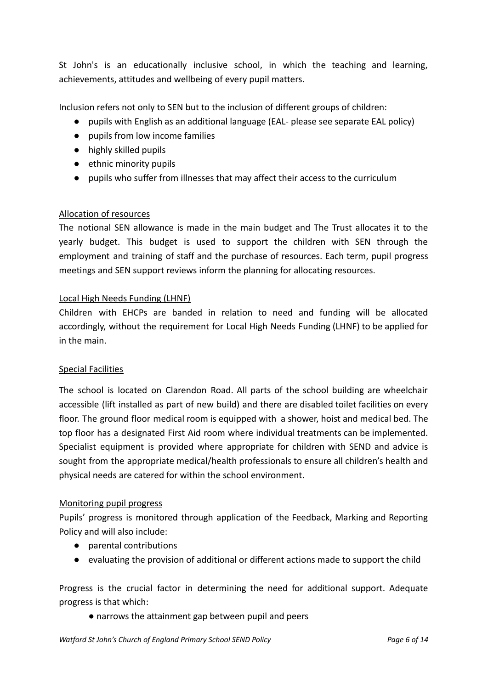St John's is an educationally inclusive school, in which the teaching and learning, achievements, attitudes and wellbeing of every pupil matters.

Inclusion refers not only to SEN but to the inclusion of different groups of children:

- pupils with English as an additional language (EAL- please see separate EAL policy)
- pupils from low income families
- highly skilled pupils
- ethnic minority pupils
- pupils who suffer from illnesses that may affect their access to the curriculum

#### Allocation of resources

The notional SEN allowance is made in the main budget and The Trust allocates it to the yearly budget. This budget is used to support the children with SEN through the employment and training of staff and the purchase of resources. Each term, pupil progress meetings and SEN support reviews inform the planning for allocating resources.

#### Local High Needs Funding (LHNF)

Children with EHCPs are banded in relation to need and funding will be allocated accordingly, without the requirement for Local High Needs Funding (LHNF) to be applied for in the main.

#### Special Facilities

The school is located on Clarendon Road. All parts of the school building are wheelchair accessible (lift installed as part of new build) and there are disabled toilet facilities on every floor. The ground floor medical room is equipped with a shower, hoist and medical bed. The top floor has a designated First Aid room where individual treatments can be implemented. Specialist equipment is provided where appropriate for children with SEND and advice is sought from the appropriate medical/health professionals to ensure all children's health and physical needs are catered for within the school environment.

#### Monitoring pupil progress

Pupils' progress is monitored through application of the Feedback, Marking and Reporting Policy and will also include:

- parental contributions
- evaluating the provision of additional or different actions made to support the child

Progress is the crucial factor in determining the need for additional support. Adequate progress is that which:

● narrows the attainment gap between pupil and peers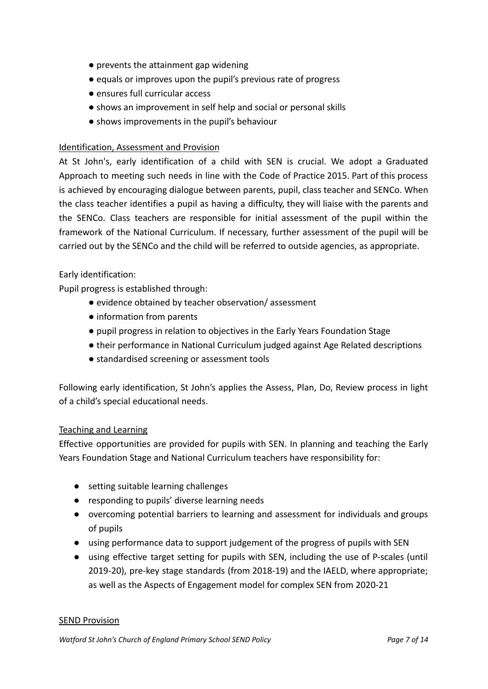- prevents the attainment gap widening
- equals or improves upon the pupil's previous rate of progress
- ensures full curricular access
- shows an improvement in self help and social or personal skills
- shows improvements in the pupil's behaviour

#### Identification, Assessment and Provision

At St John's, early identification of a child with SEN is crucial. We adopt a Graduated Approach to meeting such needs in line with the Code of Practice 2015. Part of this process is achieved by encouraging dialogue between parents, pupil, class teacher and SENCo. When the class teacher identifies a pupil as having a difficulty, they will liaise with the parents and the SENCo. Class teachers are responsible for initial assessment of the pupil within the framework of the National Curriculum. If necessary, further assessment of the pupil will be carried out by the SENCo and the child will be referred to outside agencies, as appropriate.

#### Early identification:

Pupil progress is established through:

- evidence obtained by teacher observation/ assessment
- information from parents
- pupil progress in relation to objectives in the Early Years Foundation Stage
- their performance in National Curriculum judged against Age Related descriptions
- standardised screening or assessment tools

Following early identification, St John's applies the Assess, Plan, Do, Review process in light of a child's special educational needs.

#### Teaching and Learning

Effective opportunities are provided for pupils with SEN. In planning and teaching the Early Years Foundation Stage and National Curriculum teachers have responsibility for:

- setting suitable learning challenges
- responding to pupils' diverse learning needs
- overcoming potential barriers to learning and assessment for individuals and groups of pupils
- using performance data to support judgement of the progress of pupils with SEN
- using effective target setting for pupils with SEN, including the use of P-scales (until 2019-20), pre-key stage standards (from 2018-19) and the IAELD, where appropriate; as well as the Aspects of Engagement model for complex SEN from 2020-21

#### **SEND Provision**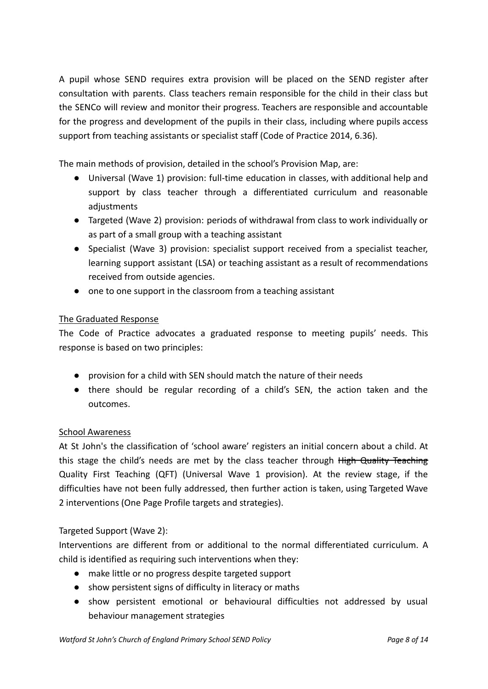A pupil whose SEND requires extra provision will be placed on the SEND register after consultation with parents. Class teachers remain responsible for the child in their class but the SENCo will review and monitor their progress. Teachers are responsible and accountable for the progress and development of the pupils in their class, including where pupils access support from teaching assistants or specialist staff (Code of Practice 2014, 6.36).

The main methods of provision, detailed in the school's Provision Map, are:

- Universal (Wave 1) provision: full-time education in classes, with additional help and support by class teacher through a differentiated curriculum and reasonable adjustments
- Targeted (Wave 2) provision: periods of withdrawal from class to work individually or as part of a small group with a teaching assistant
- Specialist (Wave 3) provision: specialist support received from a specialist teacher, learning support assistant (LSA) or teaching assistant as a result of recommendations received from outside agencies.
- one to one support in the classroom from a teaching assistant

#### The Graduated Response

The Code of Practice advocates a graduated response to meeting pupils' needs. This response is based on two principles:

- provision for a child with SEN should match the nature of their needs
- there should be regular recording of a child's SEN, the action taken and the outcomes.

#### School Awareness

At St John's the classification of 'school aware' registers an initial concern about a child. At this stage the child's needs are met by the class teacher through High Quality Teaching Quality First Teaching (QFT) (Universal Wave 1 provision). At the review stage, if the difficulties have not been fully addressed, then further action is taken, using Targeted Wave 2 interventions (One Page Profile targets and strategies).

#### Targeted Support (Wave 2):

Interventions are different from or additional to the normal differentiated curriculum. A child is identified as requiring such interventions when they:

- make little or no progress despite targeted support
- show persistent signs of difficulty in literacy or maths
- show persistent emotional or behavioural difficulties not addressed by usual behaviour management strategies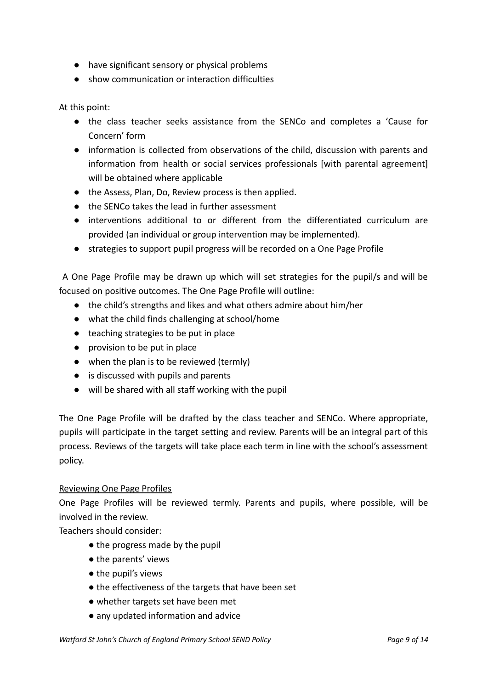- have significant sensory or physical problems
- show communication or interaction difficulties

At this point:

- the class teacher seeks assistance from the SENCo and completes a 'Cause for Concern' form
- information is collected from observations of the child, discussion with parents and information from health or social services professionals [with parental agreement] will be obtained where applicable
- the Assess, Plan, Do, Review process is then applied.
- the SENCo takes the lead in further assessment
- interventions additional to or different from the differentiated curriculum are provided (an individual or group intervention may be implemented).
- strategies to support pupil progress will be recorded on a One Page Profile

A One Page Profile may be drawn up which will set strategies for the pupil/s and will be focused on positive outcomes. The One Page Profile will outline:

- the child's strengths and likes and what others admire about him/her
- what the child finds challenging at school/home
- teaching strategies to be put in place
- provision to be put in place
- when the plan is to be reviewed (termly)
- is discussed with pupils and parents
- will be shared with all staff working with the pupil

The One Page Profile will be drafted by the class teacher and SENCo. Where appropriate, pupils will participate in the target setting and review. Parents will be an integral part of this process. Reviews of the targets will take place each term in line with the school's assessment policy.

#### Reviewing One Page Profiles

One Page Profiles will be reviewed termly. Parents and pupils, where possible, will be involved in the review.

Teachers should consider:

- the progress made by the pupil
- the parents' views
- the pupil's views
- the effectiveness of the targets that have been set
- whether targets set have been met
- any updated information and advice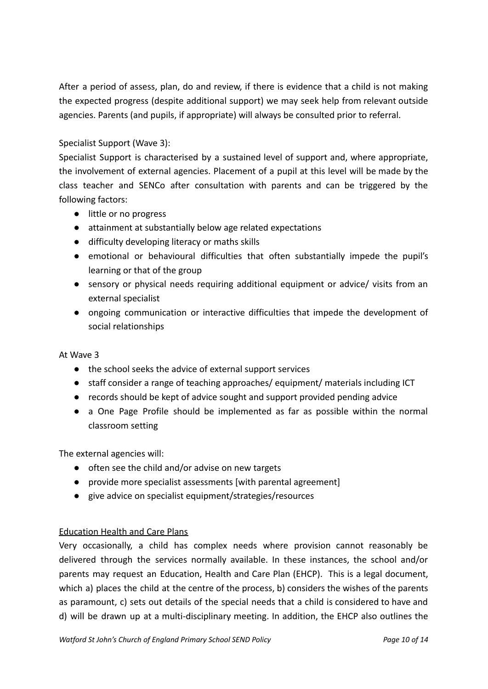After a period of assess, plan, do and review, if there is evidence that a child is not making the expected progress (despite additional support) we may seek help from relevant outside agencies. Parents (and pupils, if appropriate) will always be consulted prior to referral.

#### Specialist Support (Wave 3):

Specialist Support is characterised by a sustained level of support and, where appropriate, the involvement of external agencies. Placement of a pupil at this level will be made by the class teacher and SENCo after consultation with parents and can be triggered by the following factors:

- little or no progress
- attainment at substantially below age related expectations
- difficulty developing literacy or maths skills
- emotional or behavioural difficulties that often substantially impede the pupil's learning or that of the group
- sensory or physical needs requiring additional equipment or advice/ visits from an external specialist
- ongoing communication or interactive difficulties that impede the development of social relationships

#### At Wave 3

- the school seeks the advice of external support services
- staff consider a range of teaching approaches/ equipment/ materials including ICT
- records should be kept of advice sought and support provided pending advice
- a One Page Profile should be implemented as far as possible within the normal classroom setting

The external agencies will:

- often see the child and/or advise on new targets
- provide more specialist assessments [with parental agreement]
- give advice on specialist equipment/strategies/resources

#### Education Health and Care Plans

Very occasionally, a child has complex needs where provision cannot reasonably be delivered through the services normally available. In these instances, the school and/or parents may request an Education, Health and Care Plan (EHCP). This is a legal document, which a) places the child at the centre of the process, b) considers the wishes of the parents as paramount, c) sets out details of the special needs that a child is considered to have and d) will be drawn up at a multi-disciplinary meeting. In addition, the EHCP also outlines the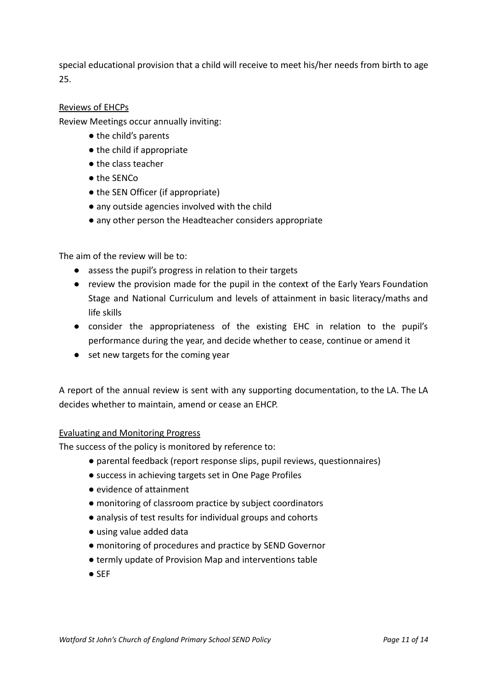special educational provision that a child will receive to meet his/her needs from birth to age 25.

#### Reviews of EHCPs

Review Meetings occur annually inviting:

- the child's parents
- the child if appropriate
- the class teacher
- the SENCo
- the SEN Officer (if appropriate)
- any outside agencies involved with the child
- any other person the Headteacher considers appropriate

The aim of the review will be to:

- assess the pupil's progress in relation to their targets
- review the provision made for the pupil in the context of the Early Years Foundation Stage and National Curriculum and levels of attainment in basic literacy/maths and life skills
- consider the appropriateness of the existing EHC in relation to the pupil's performance during the year, and decide whether to cease, continue or amend it
- set new targets for the coming year

A report of the annual review is sent with any supporting documentation, to the LA. The LA decides whether to maintain, amend or cease an EHCP.

#### Evaluating and Monitoring Progress

The success of the policy is monitored by reference to:

- parental feedback (report response slips, pupil reviews, questionnaires)
- success in achieving targets set in One Page Profiles
- evidence of attainment
- monitoring of classroom practice by subject coordinators
- analysis of test results for individual groups and cohorts
- using value added data
- monitoring of procedures and practice by SEND Governor
- termly update of Provision Map and interventions table
- SEF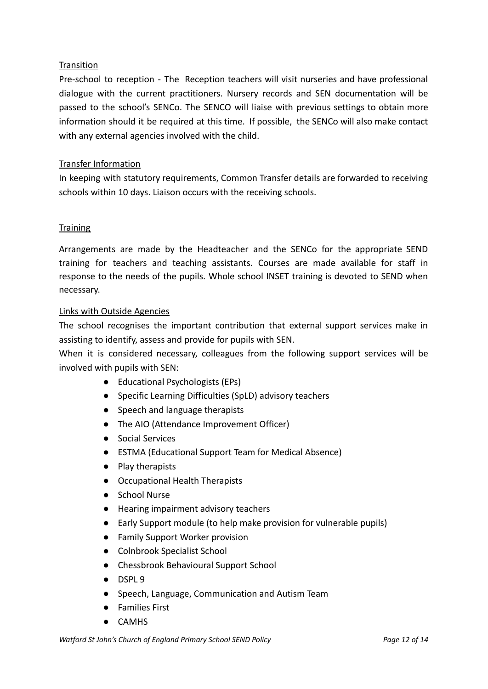#### **Transition**

Pre-school to reception - The Reception teachers will visit nurseries and have professional dialogue with the current practitioners. Nursery records and SEN documentation will be passed to the school's SENCo. The SENCO will liaise with previous settings to obtain more information should it be required at this time. If possible, the SENCo will also make contact with any external agencies involved with the child.

#### Transfer Information

In keeping with statutory requirements, Common Transfer details are forwarded to receiving schools within 10 days. Liaison occurs with the receiving schools.

#### **Training**

Arrangements are made by the Headteacher and the SENCo for the appropriate SEND training for teachers and teaching assistants. Courses are made available for staff in response to the needs of the pupils. Whole school INSET training is devoted to SEND when necessary.

#### Links with Outside Agencies

The school recognises the important contribution that external support services make in assisting to identify, assess and provide for pupils with SEN.

When it is considered necessary, colleagues from the following support services will be involved with pupils with SEN:

- Educational Psychologists (EPs)
- Specific Learning Difficulties (SpLD) advisory teachers
- Speech and language therapists
- The AIO (Attendance Improvement Officer)
- Social Services
- ESTMA (Educational Support Team for Medical Absence)
- Play therapists
- Occupational Health Therapists
- School Nurse
- Hearing impairment advisory teachers
- Early Support module (to help make provision for vulnerable pupils)
- Family Support Worker provision
- Colnbrook Specialist School
- Chessbrook Behavioural Support School
- DSPL 9
- Speech, Language, Communication and Autism Team
- Families First
- CAMHS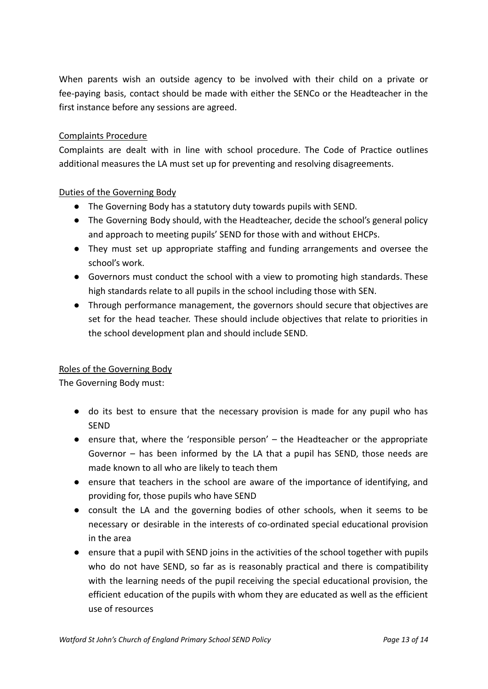When parents wish an outside agency to be involved with their child on a private or fee-paying basis, contact should be made with either the SENCo or the Headteacher in the first instance before any sessions are agreed.

#### Complaints Procedure

Complaints are dealt with in line with school procedure. The Code of Practice outlines additional measures the LA must set up for preventing and resolving disagreements.

#### Duties of the Governing Body

- The Governing Body has a statutory duty towards pupils with SEND.
- The Governing Body should, with the Headteacher, decide the school's general policy and approach to meeting pupils' SEND for those with and without EHCPs.
- They must set up appropriate staffing and funding arrangements and oversee the school's work.
- Governors must conduct the school with a view to promoting high standards. These high standards relate to all pupils in the school including those with SEN.
- Through performance management, the governors should secure that objectives are set for the head teacher. These should include objectives that relate to priorities in the school development plan and should include SEND.

#### Roles of the Governing Body

The Governing Body must:

- do its best to ensure that the necessary provision is made for any pupil who has SEND
- ensure that, where the 'responsible person' the Headteacher or the appropriate Governor – has been informed by the LA that a pupil has SEND, those needs are made known to all who are likely to teach them
- ensure that teachers in the school are aware of the importance of identifying, and providing for, those pupils who have SEND
- consult the LA and the governing bodies of other schools, when it seems to be necessary or desirable in the interests of co-ordinated special educational provision in the area
- ensure that a pupil with SEND joins in the activities of the school together with pupils who do not have SEND, so far as is reasonably practical and there is compatibility with the learning needs of the pupil receiving the special educational provision, the efficient education of the pupils with whom they are educated as well as the efficient use of resources